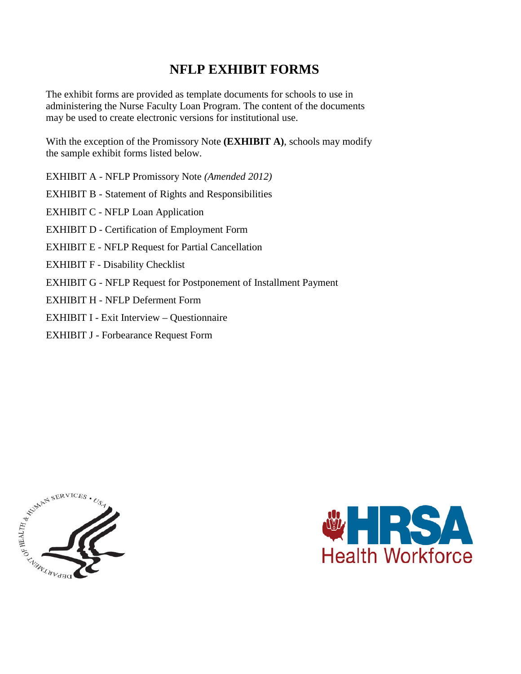# **NFLP EXHIBIT FORMS**

The exhibit forms are provided as template documents for schools to use in administering the Nurse Faculty Loan Program. The content of the documents may be used to create electronic versions for institutional use.

With the exception of the Promissory Note **(EXHIBIT A)**, schools may modify the sample exhibit forms listed below.

EXHIBIT A - NFLP Promissory Note *(Amended 2012)*  EXHIBIT B - Statement of Rights and Responsibilities EXHIBIT C - NFLP Loan Application EXHIBIT D - Certification of Employment Form EXHIBIT E - NFLP Request for Partial Cancellation EXHIBIT F - Disability Checklist EXHIBIT G - NFLP Request for Postponement of Installment Payment EXHIBIT H - NFLP Deferment Form EXHIBIT I - Exit Interview – Questionnaire

EXHIBIT J - Forbearance Request Form



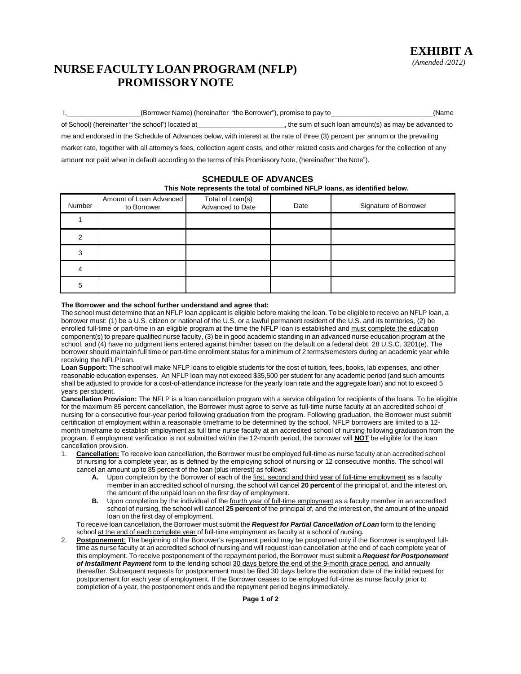## **NURSE FACULTY LOAN PROGRAM (NFLP) PROMISSORY NOTE**

| (Borrower Name) (hereinafter "the Borrower"), promise to pay to                                                                       | (Name                                                  |
|---------------------------------------------------------------------------------------------------------------------------------------|--------------------------------------------------------|
| of School) (hereinafter "the school") located at                                                                                      | , the sum of such loan amount(s) as may be advanced to |
| me and endorsed in the Schedule of Advances below, with interest at the rate of three (3) percent per annum or the prevailing         |                                                        |
| market rate, together with all attorney's fees, collection agent costs, and other related costs and charges for the collection of any |                                                        |
| amount not paid when in default according to the terms of this Promissory Note, (hereinafter "the Note").                             |                                                        |

### **SCHEDULE OF ADVANCES**

#### **This Note represents the total of combined NFLP loans, as identified below.**

| Number | Amount of Loan Advanced<br>to Borrower | Total of Loan(s)<br>Advanced to Date | Date | Signature of Borrower |
|--------|----------------------------------------|--------------------------------------|------|-----------------------|
|        |                                        |                                      |      |                       |
|        |                                        |                                      |      |                       |
|        |                                        |                                      |      |                       |
|        |                                        |                                      |      |                       |
| 5      |                                        |                                      |      |                       |

#### **The Borrower and the school further understand and agree that:**

The school must determine that an NFLP loan applicant is eligible before making the loan. To be eligible to receive an NFLP loan, a borrower must: (1) be a U.S. citizen or national of the U.S, or a lawful permanent resident of the U.S. and its territories, (2) be enrolled full-time or part-time in an eligible program at the time the NFLP loan is established and must complete the education component(s) to prepare qualified nurse faculty, (3) be in good academic standing in an advanced nurse education program at the school, and (4) have no judgment liens entered against him/her based on the default on a federal debt, 28 U.S.C. 3201(e). The borrower should maintain full time or part-time enrollment status for a minimum of 2 terms/semesters during an academic year while receiving the NFLP loan.

**Loan Support:** The school will make NFLP loans to eligible students for the cost of tuition, fees, books, lab expenses, and other reasonable education expenses. An NFLP loan may not exceed \$35,500 per student for any academic period (and such amounts shall be adjusted to provide for a cost-of-attendance increase for the yearly loan rate and the aggregate loan) and not to exceed 5 years per student.

**Cancellation Provision:** The NFLP is a loan cancellation program with a service obligation for recipients of the loans. To be eligible for the maximum 85 percent cancellation, the Borrower must agree to serve as full-time nurse faculty at an accredited school of nursing for a consecutive four-year period following graduation from the program. Following graduation, the Borrower must submit certification of employment within a reasonable timeframe to be determined by the school. NFLP borrowers are limited to a 12 month timeframe to establish employment as full time nurse faculty at an accredited school of nursing following graduation from the program. If employment verification is not submitted within the 12-month period, the borrower will **NOT** be eligible for the loan cancellation provision.

- 1. **Cancellation:** To receive loan cancellation, the Borrower must be employed full-time as nurse faculty at an accredited school of nursing for a complete year, as is defined by the employing school of nursing or 12 consecutive months. The school will cancel an amount up to 85 percent of the loan (plus interest) as follows:
	- **A.** Upon completion by the Borrower of each of the first, second and third year of full-time employment as a faculty member in an accredited school of nursing, the school will cancel **20 percent** of the principal of, and the interest on, the amount of the unpaid loan on the first day of employment.
	- **B.** Upon completion by the individual of the fourth year of full-time employment as a faculty member in an accredited school of nursing, the school will cancel **25 percent** of the principal of, and the interest on, the amount of the unpaid loan on the first day of employment.

To receive loan cancellation, the Borrower must submit the *Request for Partial Cancellation of Loan* form to the lending school at the end of each complete year of full-time employment as faculty at a school of nursing.

2. **Postponement**: The beginning of the Borrower's repayment period may be postponed only if the Borrower is employed fulltime as nurse faculty at an accredited school of nursing and will request loan cancellation at the end of each complete year of this employment. To receive postponement of the repayment period, the Borrower must submit a *Request for Postponement of Installment Payment* form to the lending school 30 days before the end of the 9-month grace period, and annually thereafter. Subsequent requests for postponement must be filed 30 days before the expiration date of the initial request for postponement for each year of employment. If the Borrower ceases to be employed full-time as nurse faculty prior to completion of a year, the postponement ends and the repayment period begins immediately.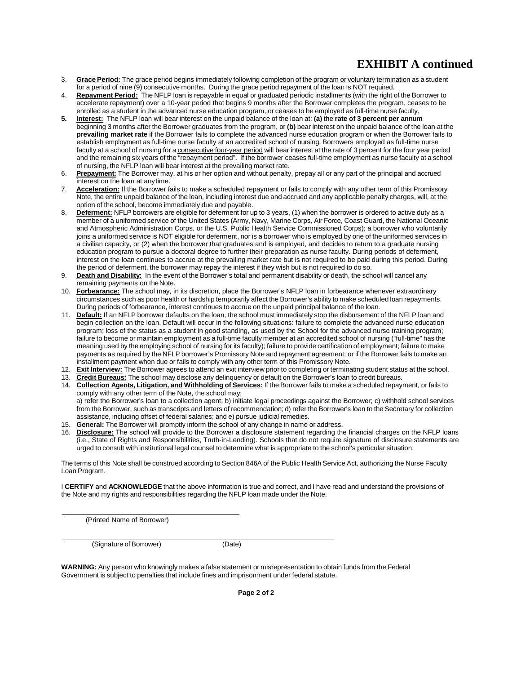# **EXHIBIT A continued**

- 3. **Grace Period:** The grace period begins immediately following completion of the program or voluntary termination as a student for a period of nine (9) consecutive months. During the grace period repayment of the loan is NOT required.
- 4. **Repayment Period:** The NFLP loan is repayable in equal or graduated periodic installments (with the right of the Borrower to accelerate repayment) over a 10-year period that begins 9 months after the Borrower completes the program, ceases to be enrolled as a student in the advanced nurse education program, or ceases to be employed as full-time nurse faculty.
- **5. Interest:** The NFLP loan will bear interest on the unpaid balance of the loan at: **(a)** the **rate of 3 percent per annum** beginning 3 months after the Borrower graduates from the program, or **(b)** bear interest on the unpaid balance of the loan at the **prevailing market rate** if the Borrower fails to complete the advanced nurse education program or when the Borrower fails to establish employment as full-time nurse faculty at an accredited school of nursing. Borrowers employed as full-time nurse faculty at a school of nursing for a consecutive four-year period will bear interest at the rate of 3 percent for the four year period and the remaining six years of the "repayment period". If the borrower ceases full-time employment as nurse faculty at a school of nursing, the NFLP loan will bear interest at the prevailing market rate.
- 6. **Prepayment:** The Borrower may, at his or her option and without penalty, prepay all or any part of the principal and accrued interest on the loan at anytime.
- 7. **Acceleration:** If the Borrower fails to make a scheduled repayment or fails to comply with any other term of this Promissory Note, the entire unpaid balance of the loan, including interest due and accrued and any applicable penalty charges, will, at the option of the school, become immediately due and payable.
- 8. **Deferment:** NFLP borrowers are eligible for deferment for up to 3 years, (1) when the borrower is ordered to active duty as a member of a uniformed service of the United States (Army, Navy, Marine Corps, Air Force, Coast Guard, the National Oceanic and Atmospheric Administration Corps, or the U.S. Public Health Service Commissioned Corps); a borrower who voluntarily joins a uniformed service is NOT eligible for deferment, nor is a borrower who is employed by one of the uniformed services in a civilian capacity, or (2) when the borrower that graduates and is employed, and decides to return to a graduate nursing education program to pursue a doctoral degree to further their preparation as nurse faculty. During periods of deferment, interest on the loan continues to accrue at the prevailing market rate but is not required to be paid during this period. During the period of deferment, the borrower may repay the interest if they wish but is not required to do so.
- 9. **Death and Disability:** In the event of the Borrower's total and permanent disability or death, the school will cancel any remaining payments on theNote.
- 10. **Forbearance:** The school may, in its discretion, place the Borrower's NFLP loan in forbearance whenever extraordinary circumstances such as poor health or hardship temporarily affect the Borrower's ability to make scheduled loan repayments. During periods of forbearance, interest continues to accrue on the unpaid principal balance of the loan.
- 11. **Default:** If an NFLP borrower defaults on the loan, the school must immediately stop the disbursement of the NFLP loan and begin collection on the loan. Default will occur in the following situations: failure to complete the advanced nurse education program; loss of the status as a student in good standing, as used by the School for the advanced nurse training program; failure to become or maintain employment as a full-time faculty member at an accredited school of nursing ("full-time" has the meaning used by the employing school of nursing for its faculty); failure to provide certification of employment; failure to make payments as required by the NFLP borrower's Promissory Note and repayment agreement; or if the Borrower fails to make an installment payment when due or fails to comply with any other term of this Promissory Note.
- 12. **Exit Interview:** The Borrower agrees to attend an exit interview prior to completing or terminating student status at the school.
- 13. **Credit Bureaus:** The school may disclose any delinquency or default on the Borrower's loan to credit bureaus.
- 14. **Collection Agents, Litigation, and Withholding of Services:** If the Borrower fails to make a scheduled repayment, or fails to comply with any other term of the Note, the school may: a) refer the Borrower's loan to a collection agent; b) initiate legal proceedings against the Borrower; c) withhold school services from the Borrower, such as transcripts and letters of recommendation; d) refer the Borrower's loan to the Secretary for collection assistance, including offset of federal salaries; and e) pursue judicial remedies.
- 15. **General:** The Borrower will promptly inform the school of any change in name or address.
- 16. **Disclosure:** The school will provide to the Borrower a disclosure statement regarding the financial charges on the NFLP loans (i.e., State of Rights and Responsibilities, Truth-in-Lending). Schools that do not require signature of disclosure statements are urged to consult with institutional legal counsel to determine what is appropriate to the school's particular situation.

The terms of this Note shall be construed according to Section 846A of the Public Health Service Act, authorizing the Nurse Faculty Loan Program.

I **CERTIFY** and **ACKNOWLEDGE** that the above information is true and correct, and I have read and understand the provisions of the Note and my rights and responsibilities regarding the NFLP loan made under the Note.

(Printed Name of Borrower)

(Signature of Borrower) (Date)

**WARNING:** Any person who knowingly makes a false statement or misrepresentation to obtain funds from the Federal Government is subject to penalties that include fines and imprisonment under federal statute.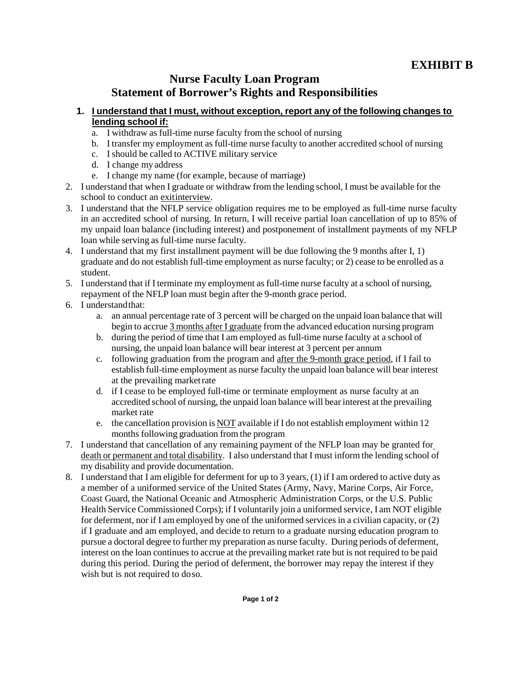## **EXHIBIT B**

## **Nurse Faculty Loan Program Statement of Borrower's Rights and Responsibilities**

### **1. I understand that I must, without exception, report any of the following changes to lending school if:**

- a. I withdraw as full-time nurse faculty from the school of nursing
- b. I transfer my employment as full-time nurse faculty to another accredited school of nursing
- c. I should be called to ACTIVE military service
- d. I change my address
- e. I change my name (for example, because of marriage)
- 2. I understand that when I graduate or withdraw from the lending school, I must be available for the school to conduct an exitinterview.
- 3. I understand that the NFLP service obligation requires me to be employed as full-time nurse faculty in an accredited school of nursing. In return, I will receive partial loan cancellation of up to 85% of my unpaid loan balance (including interest) and postponement of installment payments of my NFLP loan while serving as full-time nurse faculty.
- 4. I understand that my first installment payment will be due following the 9 months after I, 1) graduate and do not establish full-time employment as nurse faculty; or 2) cease to be enrolled as a student.
- 5. I understand that if I terminate my employment as full-time nurse faculty at a school of nursing, repayment of the NFLP loan must begin after the 9-month grace period.
- 6. I understand that:
	- a. an annual percentage rate of 3 percent will be charged on the unpaid loan balance that will begin to accrue 3 months after I graduate from the advanced education nursing program
	- b. during the period of time that I am employed as full-time nurse faculty at a school of nursing, the unpaid loan balance will bear interest at 3 percent per annum
	- c. following graduation from the program and after the 9-month grace period, if I fail to establish full-time employment as nurse faculty the unpaid loan balance will bear interest at the prevailing marketrate
	- d. if I cease to be employed full-time or terminate employment as nurse faculty at an accredited school of nursing, the unpaid loan balance will bear interest at the prevailing market rate
	- e. the cancellation provision is NOT available if I do not establish employment within 12 months following graduation from the program
- 7. I understand that cancellation of any remaining payment of the NFLP loan may be granted for death or permanent and total disability. I also understand that I must inform the lending school of my disability and provide documentation.
- 8. I understand that I am eligible for deferment for up to 3 years, (1) if I am ordered to active duty as a member of a uniformed service of the United States (Army, Navy, Marine Corps, Air Force, Coast Guard, the National Oceanic and Atmospheric Administration Corps, or the U.S. Public Health Service Commissioned Corps); if I voluntarily join a uniformed service, I am NOT eligible for deferment, nor if I am employed by one of the uniformed services in a civilian capacity, or (2) if I graduate and am employed, and decide to return to a graduate nursing education program to pursue a doctoral degree to further my preparation as nurse faculty. During periods of deferment, interest on the loan continues to accrue at the prevailing market rate but is not required to be paid during this period. During the period of deferment, the borrower may repay the interest if they wish but is not required to do so.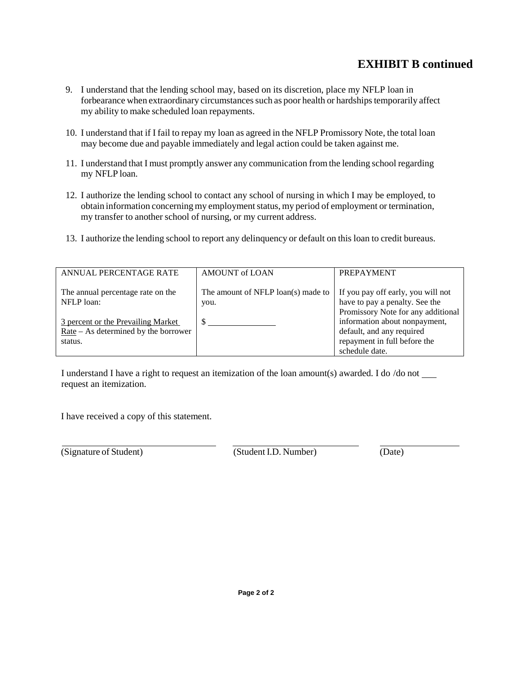## **EXHIBIT B continued**

- 9. I understand that the lending school may, based on its discretion, place my NFLP loan in forbearance when extraordinary circumstances such as poor health or hardships temporarily affect my ability to make scheduled loan repayments.
- 10. I understand that if I fail to repay my loan as agreed in the NFLP Promissory Note, the total loan may become due and payable immediately and legal action could be taken against me.
- 11. I understand that I must promptly answer any communication from the lending school regarding my NFLP loan.
- 12. I authorize the lending school to contact any school of nursing in which I may be employed, to obtain information concerning my employment status, my period of employment or termination, my transfer to another school of nursing, or my current address.
- 13. I authorize the lending school to report any delinquency or default on this loan to credit bureaus.

| ANNUAL PERCENTAGE RATE                          | <b>AMOUNT of LOAN</b>                      | <b>PREPAYMENT</b>                                                    |
|-------------------------------------------------|--------------------------------------------|----------------------------------------------------------------------|
| The annual percentage rate on the<br>NFLP loan: | The amount of NFLP loan(s) made to<br>you. | If you pay off early, you will not<br>have to pay a penalty. See the |
| 3 percent or the Prevailing Market              |                                            | Promissory Note for any additional<br>information about nonpayment,  |
| $Rate - As determined by the borrower$          |                                            | default, and any required                                            |
| status.                                         |                                            | repayment in full before the                                         |
|                                                 |                                            | schedule date.                                                       |

I understand I have a right to request an itemization of the loan amount(s) awarded. I do /do not request an itemization.

I have received a copy of this statement.

(Signature of Student) (Student I.D. Number) (Date)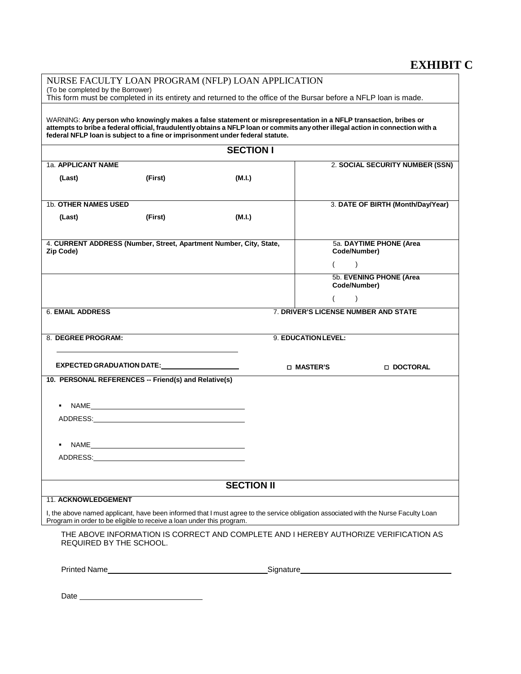## **EXHIBIT C**

| NURSE FACULTY LOAN PROGRAM (NFLP) LOAN APPLICATION                                                                                                                                                                                                                                                                                  |                                                                                                                                                       |                                                                                                                                     |                                      |                                         |
|-------------------------------------------------------------------------------------------------------------------------------------------------------------------------------------------------------------------------------------------------------------------------------------------------------------------------------------|-------------------------------------------------------------------------------------------------------------------------------------------------------|-------------------------------------------------------------------------------------------------------------------------------------|--------------------------------------|-----------------------------------------|
|                                                                                                                                                                                                                                                                                                                                     | (To be completed by the Borrower)<br>This form must be completed in its entirety and returned to the office of the Bursar before a NFLP loan is made. |                                                                                                                                     |                                      |                                         |
| WARNING: Any person who knowingly makes a false statement or misrepresentation in a NFLP transaction, bribes or<br>attempts to bribe a federal official, fraudulently obtains a NFLP loan or commits any other illegal action in connection with a<br>federal NFLP loan is subject to a fine or imprisonment under federal statute. |                                                                                                                                                       |                                                                                                                                     |                                      |                                         |
|                                                                                                                                                                                                                                                                                                                                     |                                                                                                                                                       | <b>SECTION I</b>                                                                                                                    |                                      |                                         |
| 1a. APPLICANT NAME                                                                                                                                                                                                                                                                                                                  |                                                                                                                                                       |                                                                                                                                     |                                      | 2. SOCIAL SECURITY NUMBER (SSN)         |
| (Last)                                                                                                                                                                                                                                                                                                                              | (First)                                                                                                                                               | (M.I.)                                                                                                                              |                                      |                                         |
| 1b. OTHER NAMES USED                                                                                                                                                                                                                                                                                                                |                                                                                                                                                       |                                                                                                                                     |                                      | 3. DATE OF BIRTH (Month/Day/Year)       |
| (Last)                                                                                                                                                                                                                                                                                                                              | (First)                                                                                                                                               | (M.I.)                                                                                                                              |                                      |                                         |
| Zip Code)                                                                                                                                                                                                                                                                                                                           | 4. CURRENT ADDRESS (Number, Street, Apartment Number, City, State,                                                                                    |                                                                                                                                     | Code/Number)                         | 5a. DAYTIME PHONE (Area                 |
|                                                                                                                                                                                                                                                                                                                                     |                                                                                                                                                       |                                                                                                                                     |                                      | $\lambda$                               |
|                                                                                                                                                                                                                                                                                                                                     |                                                                                                                                                       |                                                                                                                                     |                                      | 5b. EVENING PHONE (Area<br>Code/Number) |
|                                                                                                                                                                                                                                                                                                                                     |                                                                                                                                                       |                                                                                                                                     |                                      | $\mathcal{E}$                           |
| <b>6. EMAIL ADDRESS</b>                                                                                                                                                                                                                                                                                                             |                                                                                                                                                       |                                                                                                                                     | 7. DRIVER'S LICENSE NUMBER AND STATE |                                         |
| 8. DEGREE PROGRAM:                                                                                                                                                                                                                                                                                                                  |                                                                                                                                                       |                                                                                                                                     | 9. EDUCATION LEVEL:                  |                                         |
|                                                                                                                                                                                                                                                                                                                                     |                                                                                                                                                       |                                                                                                                                     |                                      |                                         |
|                                                                                                                                                                                                                                                                                                                                     | EXPECTED GRADUATION DATE: University of the state of the state of the state of the state of the state of the s                                        |                                                                                                                                     | □ MASTER'S                           | □ DOCTORAL                              |
|                                                                                                                                                                                                                                                                                                                                     | 10. PERSONAL REFERENCES -- Friend(s) and Relative(s)                                                                                                  |                                                                                                                                     |                                      |                                         |
| ٠                                                                                                                                                                                                                                                                                                                                   |                                                                                                                                                       |                                                                                                                                     |                                      |                                         |
|                                                                                                                                                                                                                                                                                                                                     |                                                                                                                                                       |                                                                                                                                     |                                      |                                         |
| ٠                                                                                                                                                                                                                                                                                                                                   |                                                                                                                                                       |                                                                                                                                     |                                      |                                         |
|                                                                                                                                                                                                                                                                                                                                     |                                                                                                                                                       |                                                                                                                                     |                                      |                                         |
|                                                                                                                                                                                                                                                                                                                                     |                                                                                                                                                       |                                                                                                                                     |                                      |                                         |
|                                                                                                                                                                                                                                                                                                                                     |                                                                                                                                                       | <b>SECTION II</b>                                                                                                                   |                                      |                                         |
| <b>11. ACKNOWLEDGEMENT</b>                                                                                                                                                                                                                                                                                                          | Program in order to be eligible to receive a loan under this program.                                                                                 | I, the above named applicant, have been informed that I must agree to the service obligation associated with the Nurse Faculty Loan |                                      |                                         |
|                                                                                                                                                                                                                                                                                                                                     | <b>REQUIRED BY THE SCHOOL.</b>                                                                                                                        | THE ABOVE INFORMATION IS CORRECT AND COMPLETE AND I HEREBY AUTHORIZE VERIFICATION AS                                                |                                      |                                         |
|                                                                                                                                                                                                                                                                                                                                     |                                                                                                                                                       |                                                                                                                                     |                                      |                                         |
| Date_                                                                                                                                                                                                                                                                                                                               |                                                                                                                                                       |                                                                                                                                     |                                      |                                         |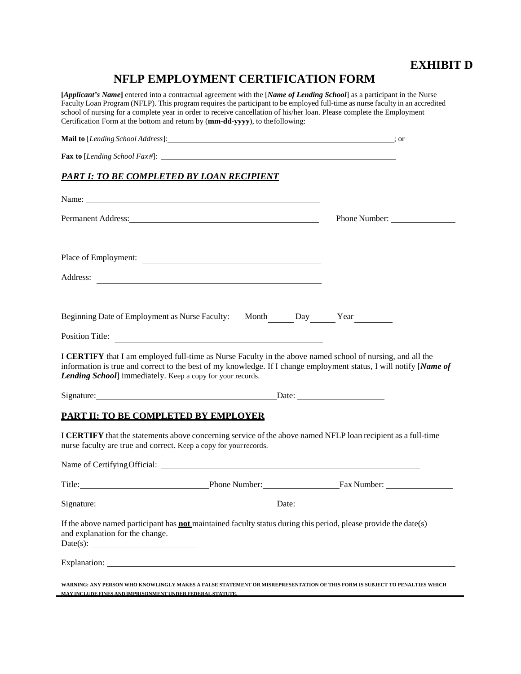## **EXHIBIT D**

# **NFLP EMPLOYMENT CERTIFICATION FORM**

**[***Applicant's Name***]** entered into a contractual agreement with the [*Name of Lending School*] as a participant in the Nurse Faculty Loan Program (NFLP). This program requires the participant to be employed full-time as nurse faculty in an accredited school of nursing for a complete year in order to receive cancellation of his/her loan. Please complete the Employment Certification Form at the bottom and return by (**mm-dd-yyyy**), to thefollowing:

| <b>PART I: TO BE COMPLETED BY LOAN RECIPIENT</b>                                                                                                                                                                                                                                                    |  |               |  |
|-----------------------------------------------------------------------------------------------------------------------------------------------------------------------------------------------------------------------------------------------------------------------------------------------------|--|---------------|--|
| Name: Name:                                                                                                                                                                                                                                                                                         |  |               |  |
| Permanent Address: New York Contract Address:                                                                                                                                                                                                                                                       |  | Phone Number: |  |
| Place of Employment:                                                                                                                                                                                                                                                                                |  |               |  |
|                                                                                                                                                                                                                                                                                                     |  |               |  |
| Beginning Date of Employment as Nurse Faculty: Month Day Pay Year                                                                                                                                                                                                                                   |  |               |  |
| Position Title:                                                                                                                                                                                                                                                                                     |  |               |  |
| I CERTIFY that I am employed full-time as Nurse Faculty in the above named school of nursing, and all the<br>information is true and correct to the best of my knowledge. If I change employment status, I will notify [Name of<br><b>Lending School</b> immediately. Keep a copy for your records. |  |               |  |
|                                                                                                                                                                                                                                                                                                     |  |               |  |
| PART II: TO BE COMPLETED BY EMPLOYER                                                                                                                                                                                                                                                                |  |               |  |
| I CERTIFY that the statements above concerning service of the above named NFLP loan recipient as a full-time<br>nurse faculty are true and correct. Keep a copy for your records.                                                                                                                   |  |               |  |
| Name of Certifying Official:                                                                                                                                                                                                                                                                        |  |               |  |
| Title: Fax Number: Fax Number:                                                                                                                                                                                                                                                                      |  |               |  |
| Signature: Date: Date: Date:                                                                                                                                                                                                                                                                        |  |               |  |
| If the above named participant has <b>not</b> maintained faculty status during this period, please provide the date(s)<br>and explanation for the change.                                                                                                                                           |  |               |  |
|                                                                                                                                                                                                                                                                                                     |  |               |  |
| WARNING: ANY PERSON WHO KNOWLINGLY MAKES A FALSE STATEMENT OR MISREPRESENTATION OF THIS FORM IS SUBJECT TO PENALTIES WHICH                                                                                                                                                                          |  |               |  |

 **MAY INCLUDEFINES AND IMPRISONMENT UNDER FEDERALSTATUTE.**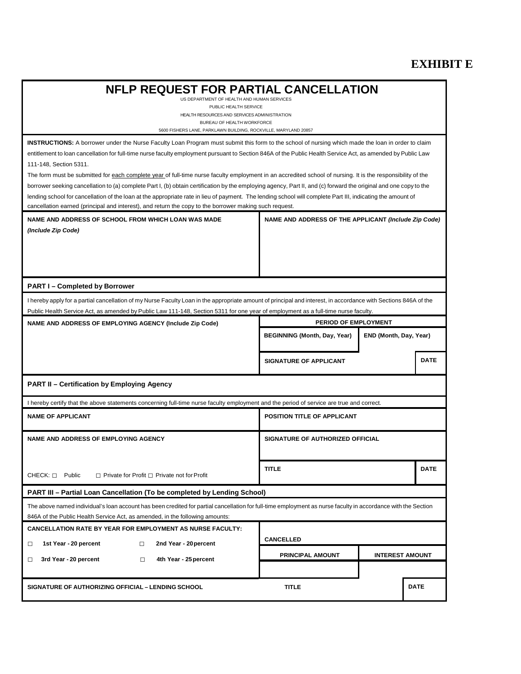# **EXHIBIT E**

| <b>NFLP REQUEST FOR PARTIAL CANCELLATION</b>                                                                                                                                                                                                  |                                                      |                        |  |
|-----------------------------------------------------------------------------------------------------------------------------------------------------------------------------------------------------------------------------------------------|------------------------------------------------------|------------------------|--|
| US DEPARTMENT OF HEALTH AND HUMAN SERVICES<br>PUBLIC HEALTH SERVICE                                                                                                                                                                           |                                                      |                        |  |
| HEALTH RESOURCES AND SERVICES ADMINISTRATION<br>BUREAU OF HEALTH WORKFORCE                                                                                                                                                                    |                                                      |                        |  |
| 5600 FISHERS LANE, PARKLAWN BUILDING, ROCKVILLE, MARYLAND 20857                                                                                                                                                                               |                                                      |                        |  |
| <b>INSTRUCTIONS:</b> A borrower under the Nurse Faculty Loan Program must submit this form to the school of nursing which made the loan in order to claim                                                                                     |                                                      |                        |  |
| entitlement to loan cancellation for full-time nurse faculty employment pursuant to Section 846A of the Public Health Service Act, as amended by Public Law<br>111-148, Section 5311.                                                         |                                                      |                        |  |
| The form must be submitted for each complete year of full-time nurse faculty employment in an accredited school of nursing. It is the responsibility of the                                                                                   |                                                      |                        |  |
| borrower seeking cancellation to (a) complete Part I, (b) obtain certification by the employing agency, Part II, and (c) forward the original and one copy to the                                                                             |                                                      |                        |  |
| lending school for cancellation of the loan at the appropriate rate in lieu of payment. The lending school will complete Part III, indicating the amount of                                                                                   |                                                      |                        |  |
| cancellation earned (principal and interest), and return the copy to the borrower making such request.                                                                                                                                        |                                                      |                        |  |
| NAME AND ADDRESS OF SCHOOL FROM WHICH LOAN WAS MADE                                                                                                                                                                                           | NAME AND ADDRESS OF THE APPLICANT (Include Zip Code) |                        |  |
| (Include Zip Code)                                                                                                                                                                                                                            |                                                      |                        |  |
|                                                                                                                                                                                                                                               |                                                      |                        |  |
|                                                                                                                                                                                                                                               |                                                      |                        |  |
|                                                                                                                                                                                                                                               |                                                      |                        |  |
| <b>PART I-Completed by Borrower</b>                                                                                                                                                                                                           |                                                      |                        |  |
| I hereby apply for a partial cancellation of my Nurse Faculty Loan in the appropriate amount of principal and interest, in accordance with Sections 846A of the                                                                               |                                                      |                        |  |
| Public Health Service Act, as amended by Public Law 111-148, Section 5311 for one year of employment as a full-time nurse faculty.                                                                                                            |                                                      |                        |  |
| NAME AND ADDRESS OF EMPLOYING AGENCY (Include Zip Code)                                                                                                                                                                                       | PERIOD OF EMPLOYMENT                                 |                        |  |
|                                                                                                                                                                                                                                               | <b>BEGINNING (Month, Day, Year)</b>                  | END (Month, Day, Year) |  |
|                                                                                                                                                                                                                                               | <b>SIGNATURE OF APPLICANT</b>                        | <b>DATE</b>            |  |
| <b>PART II - Certification by Employing Agency</b>                                                                                                                                                                                            |                                                      |                        |  |
| I hereby certify that the above statements concerning full-time nurse faculty employment and the period of service are true and correct.                                                                                                      |                                                      |                        |  |
| <b>NAME OF APPLICANT</b>                                                                                                                                                                                                                      | POSITION TITLE OF APPLICANT                          |                        |  |
| <b>NAME AND ADDRESS OF EMPLOYING AGENCY</b>                                                                                                                                                                                                   | SIGNATURE OF AUTHORIZED OFFICIAL                     |                        |  |
| $CHECK: \sqcap$ Public                                                                                                                                                                                                                        | <b>TITLE</b>                                         | <b>DATE</b>            |  |
| $\Box$ Private for Profit $\Box$ Private not for Profit                                                                                                                                                                                       |                                                      |                        |  |
| <b>PART III – Partial Loan Cancellation (To be completed by Lending School)</b>                                                                                                                                                               |                                                      |                        |  |
| The above named individual's loan account has been credited for partial cancellation for full-time employment as nurse faculty in accordance with the Section<br>846A of the Public Health Service Act, as amended, in the following amounts: |                                                      |                        |  |
| <b>CANCELLATION RATE BY YEAR FOR EMPLOYMENT AS NURSE FACULTY:</b>                                                                                                                                                                             |                                                      |                        |  |
| 1st Year - 20 percent<br>2nd Year - 20 percent<br>$\Box$<br>□                                                                                                                                                                                 | <b>CANCELLED</b>                                     |                        |  |
|                                                                                                                                                                                                                                               | PRINCIPAL AMOUNT                                     | <b>INTEREST AMOUNT</b> |  |
| 3rd Year - 20 percent<br>4th Year - 25 percent<br>$\Box$<br>□                                                                                                                                                                                 |                                                      |                        |  |
| SIGNATURE OF AUTHORIZING OFFICIAL - LENDING SCHOOL                                                                                                                                                                                            | <b>TITLE</b>                                         | <b>DATE</b>            |  |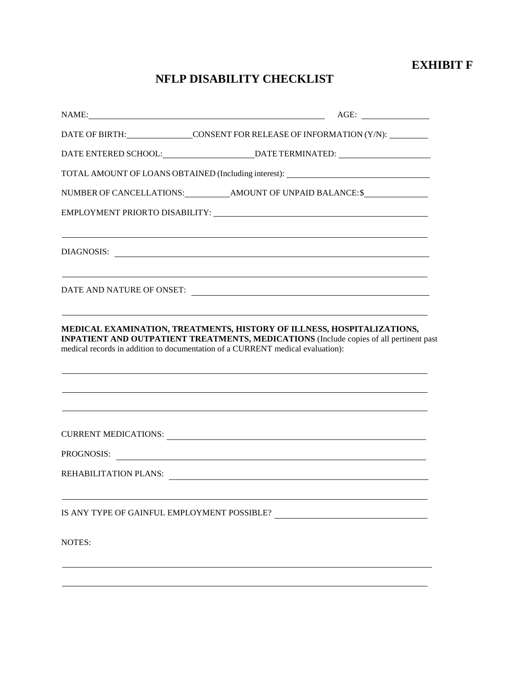## **EXHIBIT F**

# **NFLP DISABILITY CHECKLIST**

|                                             | AGE:<br>NAME:                                                                                                                                                                                                                                             |
|---------------------------------------------|-----------------------------------------------------------------------------------------------------------------------------------------------------------------------------------------------------------------------------------------------------------|
|                                             | DATE OF BIRTH: CONSENT FOR RELEASE OF INFORMATION (Y/N):                                                                                                                                                                                                  |
|                                             |                                                                                                                                                                                                                                                           |
|                                             | TOTAL AMOUNT OF LOANS OBTAINED (Including interest): ____________________________                                                                                                                                                                         |
|                                             |                                                                                                                                                                                                                                                           |
|                                             | EMPLOYMENT PRIORTO DISABILITY: University of the contract of the contract of the contract of the contract of the contract of the contract of the contract of the contract of the contract of the contract of the contract of t                            |
|                                             |                                                                                                                                                                                                                                                           |
|                                             | DIAGNOSIS:                                                                                                                                                                                                                                                |
|                                             |                                                                                                                                                                                                                                                           |
|                                             |                                                                                                                                                                                                                                                           |
|                                             | ,我们也不会有什么。""我们的人,我们也不会有什么?""我们的人,我们也不会有什么?""我们的人,我们也不会有什么?""我们的人,我们也不会有什么?""我们的人                                                                                                                                                                          |
|                                             | MEDICAL EXAMINATION, TREATMENTS, HISTORY OF ILLNESS, HOSPITALIZATIONS,<br><b>INPATIENT AND OUTPATIENT TREATMENTS, MEDICATIONS</b> (Include copies of all pertinent past<br>medical records in addition to documentation of a CURRENT medical evaluation): |
|                                             | CURRENT MEDICATIONS:                                                                                                                                                                                                                                      |
|                                             | PROGNOSIS:                                                                                                                                                                                                                                                |
|                                             | REHABILITATION PLANS:                                                                                                                                                                                                                                     |
| IS ANY TYPE OF GAINFUL EMPLOYMENT POSSIBLE? |                                                                                                                                                                                                                                                           |
| NOTES:                                      |                                                                                                                                                                                                                                                           |
|                                             |                                                                                                                                                                                                                                                           |
|                                             |                                                                                                                                                                                                                                                           |
|                                             |                                                                                                                                                                                                                                                           |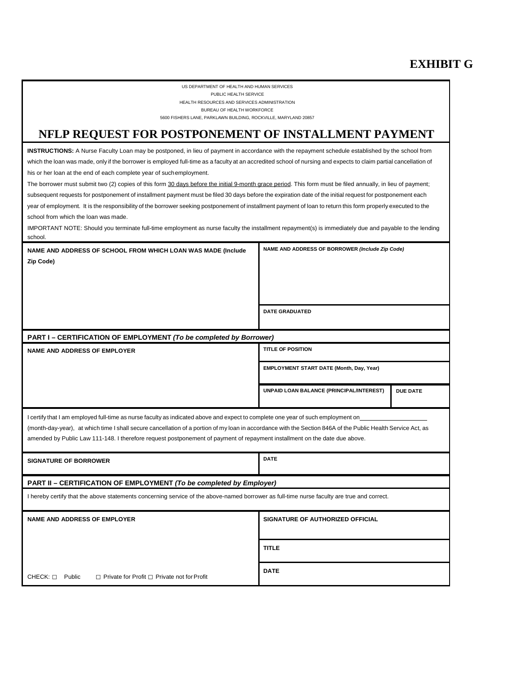# **EXHIBIT G**

| US DEPARTMENT OF HEALTH AND HUMAN SERVICES                                                                                                                                                                                                                                                 |                                                 |                 |  |
|--------------------------------------------------------------------------------------------------------------------------------------------------------------------------------------------------------------------------------------------------------------------------------------------|-------------------------------------------------|-----------------|--|
| PUBLIC HEALTH SERVICE<br>HEALTH RESOURCES AND SERVICES ADMINISTRATION                                                                                                                                                                                                                      |                                                 |                 |  |
| BUREAU OF HEALTH WORKFORCE<br>5600 FISHERS LANE, PARKLAWN BUILDING, ROCKVILLE, MARYLAND 20857                                                                                                                                                                                              |                                                 |                 |  |
| NFLP REQUEST FOR POSTPONEMENT OF INSTALLMENT PAYMENT                                                                                                                                                                                                                                       |                                                 |                 |  |
| <b>INSTRUCTIONS:</b> A Nurse Faculty Loan may be postponed, in lieu of payment in accordance with the repayment schedule established by the school from                                                                                                                                    |                                                 |                 |  |
| which the loan was made, only if the borrower is employed full-time as a faculty at an accredited school of nursing and expects to claim partial cancellation of                                                                                                                           |                                                 |                 |  |
| his or her loan at the end of each complete year of suchemployment.                                                                                                                                                                                                                        |                                                 |                 |  |
| The borrower must submit two (2) copies of this form 30 days before the initial 9-month grace period. This form must be filed annually, in lieu of payment;                                                                                                                                |                                                 |                 |  |
| subsequent requests for postponement of installment payment must be filed 30 days before the expiration date of the initial request for postponement each                                                                                                                                  |                                                 |                 |  |
| year of employment. It is the responsibility of the borrower seeking postponement of installment payment of loan to return this form properly executed to the                                                                                                                              |                                                 |                 |  |
| school from which the loan was made.<br>IMPORTANT NOTE: Should you terminate full-time employment as nurse faculty the installment repayment(s) is immediately due and payable to the lending                                                                                              |                                                 |                 |  |
| school.                                                                                                                                                                                                                                                                                    |                                                 |                 |  |
| NAME AND ADDRESS OF SCHOOL FROM WHICH LOAN WAS MADE (Include                                                                                                                                                                                                                               | NAME AND ADDRESS OF BORROWER (Include Zip Code) |                 |  |
| Zip Code)                                                                                                                                                                                                                                                                                  |                                                 |                 |  |
|                                                                                                                                                                                                                                                                                            |                                                 |                 |  |
|                                                                                                                                                                                                                                                                                            |                                                 |                 |  |
|                                                                                                                                                                                                                                                                                            |                                                 |                 |  |
|                                                                                                                                                                                                                                                                                            | <b>DATE GRADUATED</b>                           |                 |  |
|                                                                                                                                                                                                                                                                                            |                                                 |                 |  |
|                                                                                                                                                                                                                                                                                            |                                                 |                 |  |
| PART I - CERTIFICATION OF EMPLOYMENT (To be completed by Borrower)                                                                                                                                                                                                                         |                                                 |                 |  |
| <b>NAME AND ADDRESS OF EMPLOYER</b>                                                                                                                                                                                                                                                        | <b>TITLE OF POSITION</b>                        |                 |  |
|                                                                                                                                                                                                                                                                                            | EMPLOYMENT START DATE (Month, Day, Year)        |                 |  |
|                                                                                                                                                                                                                                                                                            | UNPAID LOAN BALANCE (PRINCIPAL/INTEREST)        | <b>DUE DATE</b> |  |
|                                                                                                                                                                                                                                                                                            |                                                 |                 |  |
| I certify that I am employed full-time as nurse faculty as indicated above and expect to complete one year of such employment on                                                                                                                                                           |                                                 |                 |  |
| (month-day-year), at which time I shall secure cancellation of a portion of my loan in accordance with the Section 846A of the Public Health Service Act, as<br>amended by Public Law 111-148. I therefore request postponement of payment of repayment installment on the date due above. |                                                 |                 |  |
| <b>SIGNATURE OF BORROWER</b>                                                                                                                                                                                                                                                               | <b>DATE</b>                                     |                 |  |
| PART II - CERTIFICATION OF EMPLOYMENT (To be completed by Employer)                                                                                                                                                                                                                        |                                                 |                 |  |
| I hereby certify that the above statements concerning service of the above-named borrower as full-time nurse faculty are true and correct.                                                                                                                                                 |                                                 |                 |  |
| <b>NAME AND ADDRESS OF EMPLOYER</b>                                                                                                                                                                                                                                                        | SIGNATURE OF AUTHORIZED OFFICIAL                |                 |  |
|                                                                                                                                                                                                                                                                                            | <b>TITLE</b>                                    |                 |  |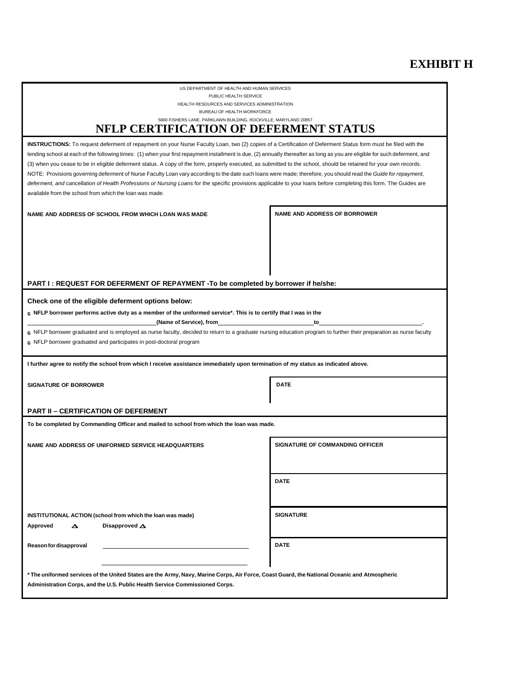## **EXHIBIT H**

US DEPARTMENT OF HEALTH AND HUMAN SERVICES PUBLIC HEALTH SERVICE HEALTH RESOURCES AND SERVICES ADMINISTRATION

BUREAU OF HEALTH WORKFORCE

#### 5600 FISHERS LANE, PARKLAWN BUILDING, ROCKVILLE, MARYLAND 20857 **NFLP CERTIFICATION OF DEFERMENT STATUS**

 lending school at each of the following times: (1) when your first repayment installment is due, (2) annually thereafter as long as you are eligible for such deferment, and NOTE: Provisions governing deferment of Nurse Faculty Loan vary according to the date such loans were made; therefore, you should read the *Guide for repayment,*  available from the school from which the loan was made. **INSTRUCTIONS:** To request deferment of repayment on your Nurse Faculty Loan, two (2) copies of a Certification of Deferment Status form must be filed with the (3) when you cease to be in eligible deferment status. A copy of the form, properly executed, as submitted to the school, should be retained for your own records. *deferment, and cancellation of Health Professions or Nursing Loans* for the specific provisions applicable to your loans before completing this form. The Guides are

NAME AND ADDRESS OF SCHOOL FROM WHICH LOAN WAS MADE **NAME AND ADDRESS OF BORROWER** 

#### **PART I : REQUEST FOR DEFERMENT OF REPAYMENT -To be completed by borrower if he/she:**

#### **Check one of the eligible deferment options below:**

**G NFLP borrower performs active duty as a member of the uniformed service\*. This is to certify that I was in the** 

 **(Name of Service), from to .** 

**G** NFLP borrower graduated and is employed as nurse faculty, decided to return to a graduate nursing education program to further their preparation as nurse faculty **G** NFLP borrower graduated and participates in post-doctoral program

**I further agree to notify the school from which I receive assistance immediately upon termination of my status as indicated above.** 

| <b>SIGNATURE OF BORROWER</b> | <b>DATE</b> |
|------------------------------|-------------|
|------------------------------|-------------|

#### **PART II – CERTIFICATION OF DEFERMENT**

**To be completed by Commanding Officer and mailed to school from which the loan was made.** 

NAME AND ADDRESS OF UNIFORMED SERVICE HEADQUARTERS SIGNATURE OF COMMANDING OFFICER

**DATE** 

 **INSTITUTIONAL ACTION (school from which the loan was made)** 

**Approved** ∆ **Disapproved** ∆

**Reasonfor disapproval** 

**SIGNATURE** 

**DATE** 

 **\* The uniformed services of the United States are the Army, Navy, Marine Corps, Air Force, Coast Guard, the National Oceanic and Atmospheric Administration Corps, and the U.S. Public Health Service Commissioned Corps.**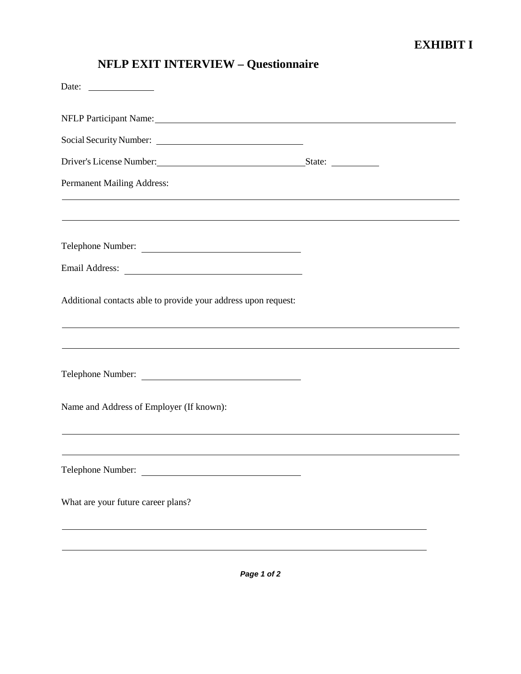| Social Security Number:                                                                                                                                                                                                        |  |
|--------------------------------------------------------------------------------------------------------------------------------------------------------------------------------------------------------------------------------|--|
| Driver's License Number: State: State: State: State: State: State: State: State: State: State: State: State: State: State: State: State: State: State: State: State: State: State: State: State: State: State: State: State: S |  |
| <b>Permanent Mailing Address:</b>                                                                                                                                                                                              |  |
| ,我们也不能在这里的时候,我们也不能在这里的时候,我们也不能会在这里的时候,我们也不能会在这里的时候,我们也不能会在这里的时候,我们也不能会在这里的时候,我们也                                                                                                                                               |  |
| ,我们也不能在这里的时候,我们也不能会在这里,我们也不能会在这里,我们也不能会在这里,我们也不能会在这里,我们也不能会不能会不能会。<br>第2012章 我们的时候,我们的时候,我们的时候,我们的时候,我们的时候,我们的时候,我们的时候,我们的时候,我们的时候,我们的时候,我们的时候,我们的时候,我<br>Telephone Number:                                                    |  |
|                                                                                                                                                                                                                                |  |
| Additional contacts able to provide your address upon request:                                                                                                                                                                 |  |
|                                                                                                                                                                                                                                |  |
| Telephone Number:                                                                                                                                                                                                              |  |
| Name and Address of Employer (If known):                                                                                                                                                                                       |  |
|                                                                                                                                                                                                                                |  |
| Telephone Number:                                                                                                                                                                                                              |  |
| What are your future career plans?                                                                                                                                                                                             |  |
|                                                                                                                                                                                                                                |  |
|                                                                                                                                                                                                                                |  |
| Page 1 of 2                                                                                                                                                                                                                    |  |

# **NFLP EXIT INTERVIEW – Questionnaire**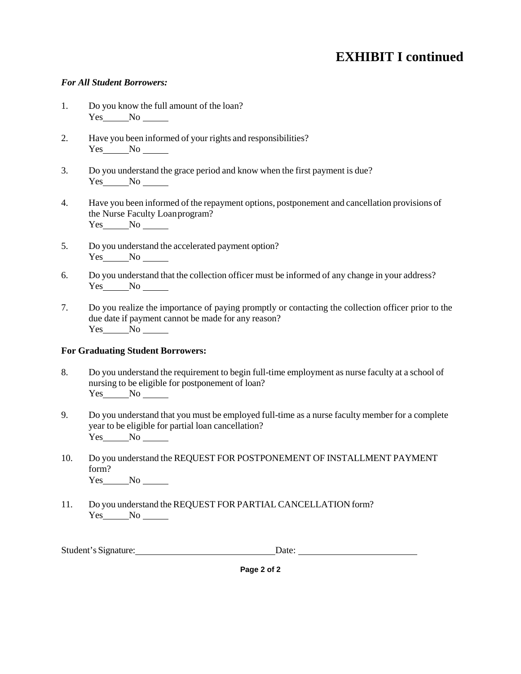# **EXHIBIT I continued**

### *For All Student Borrowers:*

- 1. Do you know the full amount of the loan? Yes No
- 2. Have you been informed of your rights and responsibilities? Yes No No
- 3. Do you understand the grace period and know when the first payment is due?  $Yes$  No  $\_\_\_\$
- 4. Have you been informed of the repayment options, postponement and cancellation provisions of the Nurse Faculty Loanprogram? Yes No No
- 5. Do you understand the accelerated payment option? Yes No
- 6. Do you understand that the collection officer must be informed of any change in your address? Yes No
- 7. Do you realize the importance of paying promptly or contacting the collection officer prior to the due date if payment cannot be made for any reason? Yes No No

### **For Graduating Student Borrowers:**

- 8. Do you understand the requirement to begin full-time employment as nurse faculty at a school of nursing to be eligible for postponement of loan? Yes No
- 9. Do you understand that you must be employed full-time as a nurse faculty member for a complete year to be eligible for partial loan cancellation? Yes No
- 10. Do you understand the REQUEST FOR POSTPONEMENT OF INSTALLMENT PAYMENT form? Yes No No
- 11. Do you understand the REQUEST FOR PARTIAL CANCELLATION form? Yes No No

|  | Student's Signature: | Date: |
|--|----------------------|-------|
|--|----------------------|-------|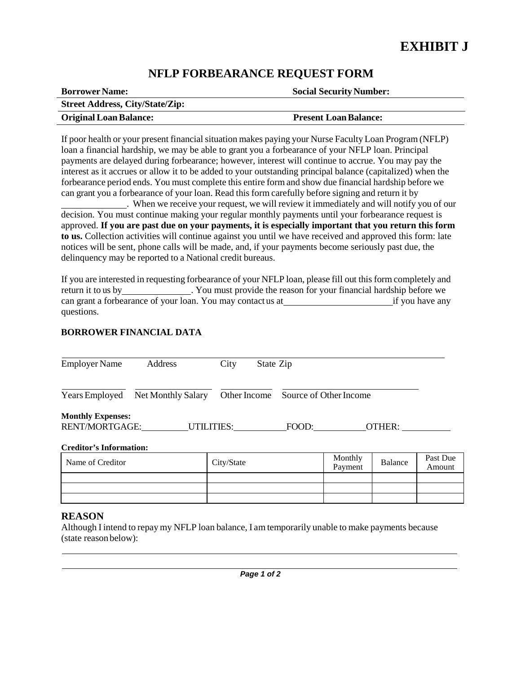## **NFLP FORBEARANCE REQUEST FORM**

| <b>Borrower Name:</b>                  | <b>Social Security Number:</b> |
|----------------------------------------|--------------------------------|
| <b>Street Address, City/State/Zip:</b> |                                |
| <b>Original Loan Balance:</b>          | <b>Present Loan Balance:</b>   |

If poor health or your present financial situation makes paying your Nurse Faculty Loan Program (NFLP) loan a financial hardship, we may be able to grant you a forbearance of your NFLP loan. Principal payments are delayed during forbearance; however, interest will continue to accrue. You may pay the interest as it accrues or allow it to be added to your outstanding principal balance (capitalized) when the forbearance period ends. You must complete this entire form and show due financial hardship before we can grant you a forbearance of your loan. Read this form carefully before signing and return it by

 . When we receive your request, we will review it immediately and will notify you of our decision. You must continue making your regular monthly payments until your forbearance request is approved. **If you are past due on your payments, it is especially important that you return this form to us.** Collection activities will continue against you until we have received and approved this form: late notices will be sent, phone calls will be made, and, if your payments become seriously past due, the delinquency may be reported to a National credit bureaus.

If you are interested in requesting forbearance of your NFLP loan, please fill out this form completely and return it to us by . You must provide the reason for your financial hardship before we can grant a forbearance of your loan. You may contact us at if you have any questions.

### **BORROWER FINANCIAL DATA**

| <b>Employer Name</b>                       | Address            | City              | State Zip |                                     |        |
|--------------------------------------------|--------------------|-------------------|-----------|-------------------------------------|--------|
| Years Employed                             | Net Monthly Salary |                   |           | Other Income Source of Other Income |        |
| <b>Monthly Expenses:</b><br>RENT/MORTGAGE: |                    | <b>UTILITIES:</b> |           | FOOD:                               | OTHER: |
| <b>Creditor's Information:</b>             |                    |                   |           |                                     |        |

| Name of Creditor | City/State | Monthly<br>Payment | Balance | Past Due<br>Amount |
|------------------|------------|--------------------|---------|--------------------|
|                  |            |                    |         |                    |
|                  |            |                    |         |                    |
|                  |            |                    |         |                    |

### **REASON**

Although I intend to repay my NFLP loan balance, I am temporarily unable to make payments because (state reason below):